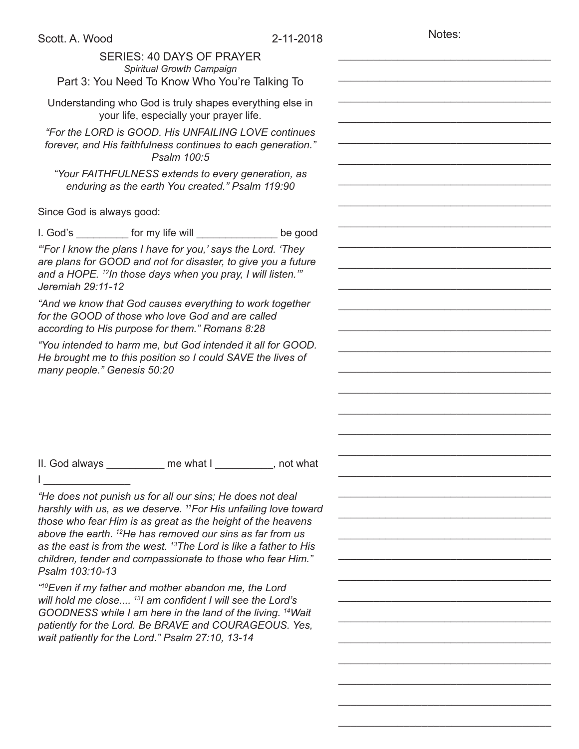Notes:

\_\_\_\_\_\_\_\_\_\_\_\_\_\_\_\_\_\_\_\_\_\_\_\_\_\_\_\_\_\_\_\_\_\_\_\_

\_\_\_\_\_\_\_\_\_\_\_\_\_\_\_\_\_\_\_\_\_\_\_\_\_\_\_\_\_\_\_\_\_\_\_\_

\_\_\_\_\_\_\_\_\_\_\_\_\_\_\_\_\_\_\_\_\_\_\_\_\_\_\_\_\_\_\_\_\_\_\_\_